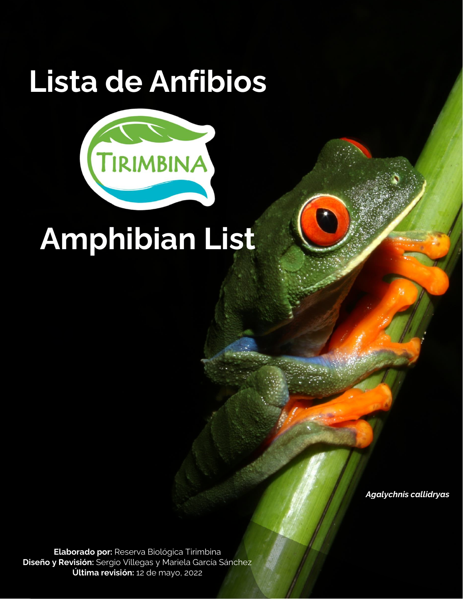# **Lista de Anfibios**



# **Amphibian List**

*Agalychnis callidryas*

**Elaborado por:** Reserva Biológica Tirimbina **Diseño y Revisión:** Sergio Villegas y Mariela García Sánchez **Última revisión:** 12 de mayo, 2022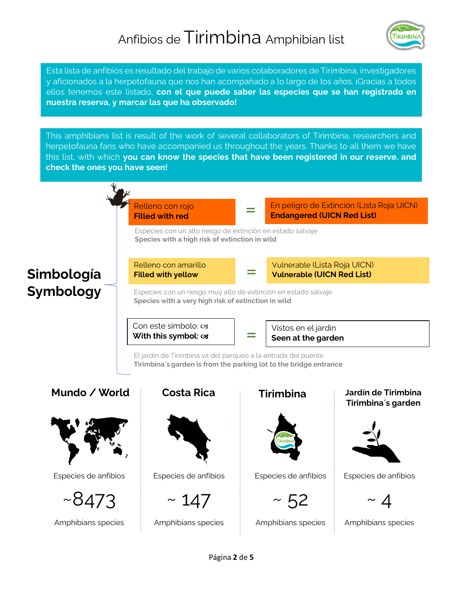### Anfibios de Tirimbina Amphibian list



Esta lista de anfibios es resultado del trabajo de varios colaboradores de Tirimbina, investigadores y aficionados a la herpetofauna que nos han acompañado a lo largo de los años. ¡Gracias a todos ellos tenemos este listado, **con el que puede saber las especies que se han registrado en nuestra reserva, y marcar las que ha observado!**

This amphibians list is result of the work of several collaborators of Tirimbina, researchers and herpetofauna fans who have accompanied us throughout the years. Thanks to all them we have this list, with which **you can know the species that have been registered in our reserve, and check the ones you have seen!**

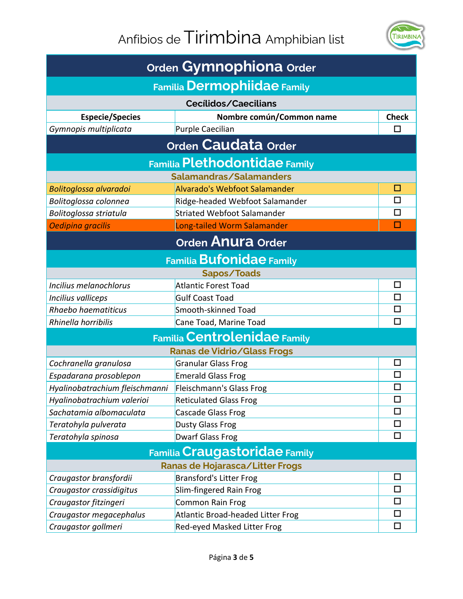## Anfibios de Tirimbina Amphibian list



| Orden Gymnophiona Order              |                                   |              |  |  |
|--------------------------------------|-----------------------------------|--------------|--|--|
| <b>Familia Dermophiidae Family</b>   |                                   |              |  |  |
| <b>Cecílidos/Caecilians</b>          |                                   |              |  |  |
| <b>Especie/Species</b>               | Nombre común/Common name          | <b>Check</b> |  |  |
| Gymnopis multiplicata                | Purple Caecilian                  |              |  |  |
|                                      | Orden Caudata Order               |              |  |  |
| <b>Familia Plethodontidae Family</b> |                                   |              |  |  |
|                                      | Salamandras/Salamanders           |              |  |  |
| Bolitoglossa alvaradoi               | Alvarado's Webfoot Salamander     | ப            |  |  |
| Bolitoglossa colonnea                | Ridge-headed Webfoot Salamander   | ◻            |  |  |
| Bolitoglossa striatula               | Striated Webfoot Salamander       | П            |  |  |
| Oedipina gracilis                    | Long-tailed Worm Salamander       | П            |  |  |
| Orden Anura Order                    |                                   |              |  |  |
|                                      | <b>Familia Bufonidae Family</b>   |              |  |  |
|                                      | Sapos/Toads                       |              |  |  |
| Incilius melanochlorus               | <b>Atlantic Forest Toad</b>       | □            |  |  |
| Incilius valliceps                   | <b>Gulf Coast Toad</b>            | □            |  |  |
| Rhaebo haematiticus                  | Smooth-skinned Toad               | П            |  |  |
| Rhinella horribilis                  | Cane Toad, Marine Toad            | П            |  |  |
| <b>Familia Centrolenidae Family</b>  |                                   |              |  |  |
| <b>Ranas de Vidrio/Glass Frogs</b>   |                                   |              |  |  |
| Cochranella granulosa                | <b>Granular Glass Frog</b>        | ◻            |  |  |
| Espadarana prosoblepon               | <b>Emerald Glass Frog</b>         | $\Box$       |  |  |
| Hyalinobatrachium fleischmanni       | Fleischmann's Glass Frog          | □            |  |  |
| Hyalinobatrachium valerioi           | <b>Reticulated Glass Frog</b>     | □            |  |  |
| Sachatamia albomaculata              | Cascade Glass Frog                | □            |  |  |
| Teratohyla pulverata                 | Dusty Glass Frog                  | □            |  |  |
| Teratohyla spinosa                   | <b>Dwarf Glass Frog</b>           | □            |  |  |
| <b>Familia Craugastoridae Family</b> |                                   |              |  |  |
|                                      | Ranas de Hojarasca/Litter Frogs   |              |  |  |
| Craugastor bransfordii               | <b>Bransford's Litter Frog</b>    | $\Box$       |  |  |
| Craugastor crassidigitus             | Slim-fingered Rain Frog           | □            |  |  |
| Craugastor fitzingeri                | Common Rain Frog                  | □            |  |  |
| Craugastor megacephalus              | Atlantic Broad-headed Litter Frog | ◻            |  |  |
| Craugastor gollmeri                  | Red-eyed Masked Litter Frog       | $\Box$       |  |  |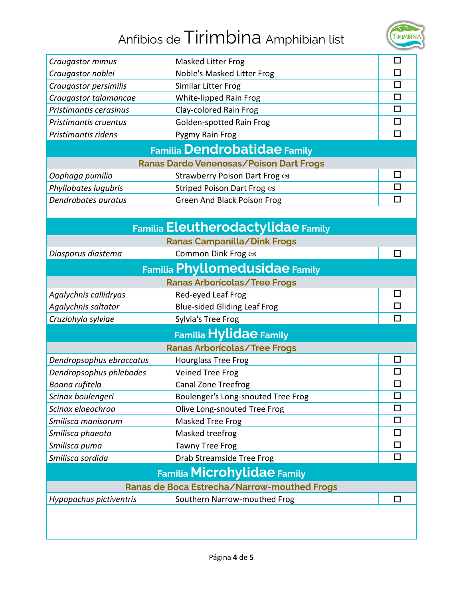### Anfibios de Tirimbina Amphibian list



| Craugastor mimus                            | Masked Litter Frog                             | □      |  |  |
|---------------------------------------------|------------------------------------------------|--------|--|--|
| Craugastor noblei                           | Noble's Masked Litter Frog                     | $\Box$ |  |  |
| Craugastor persimilis                       | Similar Litter Frog                            | $\Box$ |  |  |
| Craugastor talamancae                       | White-lipped Rain Frog                         | $\Box$ |  |  |
| Pristimantis cerasinus                      | Clay-colored Rain Frog                         | П      |  |  |
| Pristimantis cruentus                       | Golden-spotted Rain Frog                       | $\Box$ |  |  |
| Pristimantis ridens                         | Pygmy Rain Frog                                | □      |  |  |
|                                             | <b>Familia Dendrobatidae Family</b>            |        |  |  |
|                                             | <b>Ranas Dardo Venenosas/Poison Dart Frogs</b> |        |  |  |
| Oophaga pumilio                             | Strawberry Poison Dart Frog cs                 | $\Box$ |  |  |
| Phyllobates lugubris                        | Striped Poison Dart Frog cs                    | □      |  |  |
| Dendrobates auratus                         | <b>Green And Black Poison Frog</b>             | П      |  |  |
|                                             |                                                |        |  |  |
| <b>Familia Eleutherodactylidae Family</b>   |                                                |        |  |  |
|                                             | Ranas Campanilla/Dink Frogs                    |        |  |  |
| Diasporus diastema                          | Common Dink Frog cs                            | П      |  |  |
| Familia Phyllomedusidae Family              |                                                |        |  |  |
| <b>Ranas Arborícolas/Tree Frogs</b>         |                                                |        |  |  |
| Agalychnis callidryas                       | Red-eyed Leaf Frog                             | $\Box$ |  |  |
| Agalychnis saltator                         | <b>Blue-sided Gliding Leaf Frog</b>            | □      |  |  |
| Cruziohyla sylviae                          | Sylvia's Tree Frog                             | П      |  |  |
| <b>Familia Hylidae Family</b>               |                                                |        |  |  |
| <b>Ranas Arborícolas/Tree Frogs</b>         |                                                |        |  |  |
| Dendropsophus ebraccatus                    | <b>Hourglass Tree Frog</b>                     | □      |  |  |
| Dendropsophus phlebodes                     | Veined Tree Frog                               | $\Box$ |  |  |
| Boana rufitela                              | Canal Zone Treefrog                            | $\Box$ |  |  |
| Scinax boulengeri                           | Boulenger's Long-snouted Tree Frog             | □      |  |  |
| Scinax elaeochroa                           | Olive Long-snouted Tree Frog                   | □      |  |  |
| Smilisca manisorum                          | Masked Tree Frog                               | □      |  |  |
| Smilisca phaeota                            | Masked treefrog                                | □      |  |  |
| Smilisca puma                               | <b>Tawny Tree Frog</b>                         | □      |  |  |
| Smilisca sordida                            | Drab Streamside Tree Frog                      | $\Box$ |  |  |
| <b>Familia Microhylidae Family</b>          |                                                |        |  |  |
| Ranas de Boca Estrecha/Narrow-mouthed Frogs |                                                |        |  |  |
| Hypopachus pictiventris                     | Southern Narrow-mouthed Frog                   | $\Box$ |  |  |
|                                             |                                                |        |  |  |